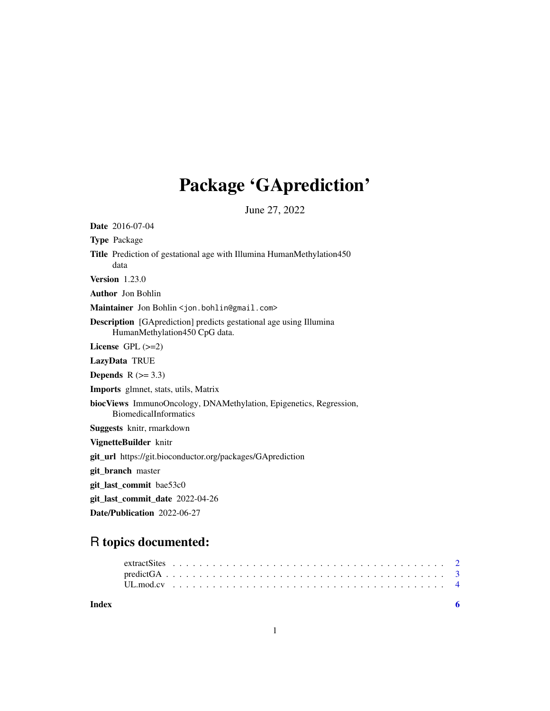## Package 'GAprediction'

June 27, 2022

Date 2016-07-04 Type Package Title Prediction of gestational age with Illumina HumanMethylation450 data Version 1.23.0 Author Jon Bohlin Maintainer Jon Bohlin <jon.bohlin@gmail.com> Description [GAprediction] predicts gestational age using Illumina HumanMethylation450 CpG data. License GPL (>=2) LazyData TRUE Depends  $R$  ( $> = 3.3$ ) Imports glmnet, stats, utils, Matrix biocViews ImmunoOncology, DNAMethylation, Epigenetics, Regression, BiomedicalInformatics Suggests knitr, rmarkdown VignetteBuilder knitr git\_url https://git.bioconductor.org/packages/GAprediction git\_branch master git\_last\_commit bae53c0 git\_last\_commit\_date 2022-04-26 Date/Publication 2022-06-27

### R topics documented:

| Index |  |  |  |  |  |  |  |  |  |  |  |  |  |  |  |  |  |  |  |  |  |  |
|-------|--|--|--|--|--|--|--|--|--|--|--|--|--|--|--|--|--|--|--|--|--|--|
|       |  |  |  |  |  |  |  |  |  |  |  |  |  |  |  |  |  |  |  |  |  |  |
|       |  |  |  |  |  |  |  |  |  |  |  |  |  |  |  |  |  |  |  |  |  |  |
|       |  |  |  |  |  |  |  |  |  |  |  |  |  |  |  |  |  |  |  |  |  |  |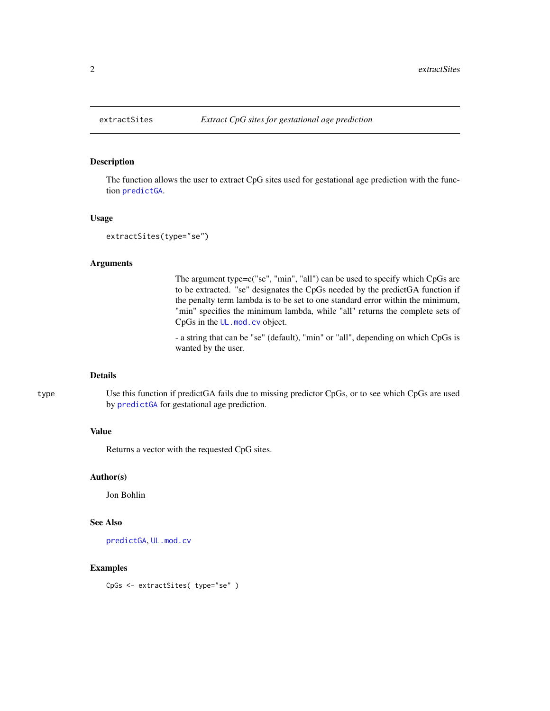#### Description

The function allows the user to extract CpG sites used for gestational age prediction with the function [predictGA](#page-2-1).

#### Usage

```
extractSites(type="se")
```
#### Arguments

The argument type=c("se", "min", "all") can be used to specify which CpGs are to be extracted. "se" designates the CpGs needed by the predictGA function if the penalty term lambda is to be set to one standard error within the minimum, "min" specifies the minimum lambda, while "all" returns the complete sets of CpGs in the [UL.mod.cv](#page-3-1) object.

- a string that can be "se" (default), "min" or "all", depending on which CpGs is wanted by the user.

#### Details

type Use this function if predictGA fails due to missing predictor CpGs, or to see which CpGs are used by [predictGA](#page-2-1) for gestational age prediction.

#### Value

Returns a vector with the requested CpG sites.

#### Author(s)

Jon Bohlin

#### See Also

[predictGA](#page-2-1), [UL.mod.cv](#page-3-1)

#### Examples

CpGs <- extractSites( type="se" )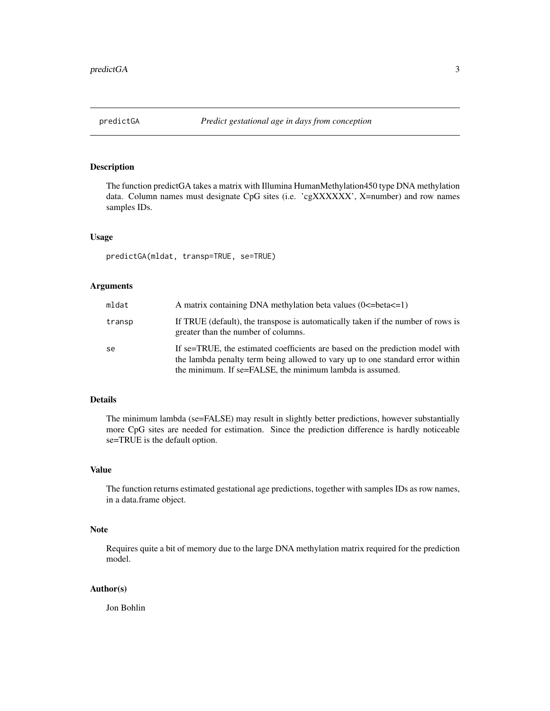<span id="page-2-1"></span><span id="page-2-0"></span>

#### Description

The function predictGA takes a matrix with Illumina HumanMethylation450 type DNA methylation data. Column names must designate CpG sites (i.e. 'cgXXXXXX', X=number) and row names samples IDs.

#### Usage

predictGA(mldat, transp=TRUE, se=TRUE)

#### Arguments

| mldat  | A matrix containing DNA methylation beta values $(0\le -beta\le -1)$                                                                                                                                                       |
|--------|----------------------------------------------------------------------------------------------------------------------------------------------------------------------------------------------------------------------------|
| transp | If TRUE (default), the transpose is automatically taken if the number of rows is<br>greater than the number of columns.                                                                                                    |
| se     | If se=TRUE, the estimated coefficients are based on the prediction model with<br>the lambda penalty term being allowed to vary up to one standard error within<br>the minimum. If se=FALSE, the minimum lambda is assumed. |

#### Details

The minimum lambda (se=FALSE) may result in slightly better predictions, however substantially more CpG sites are needed for estimation. Since the prediction difference is hardly noticeable se=TRUE is the default option.

#### Value

The function returns estimated gestational age predictions, together with samples IDs as row names, in a data.frame object.

#### Note

Requires quite a bit of memory due to the large DNA methylation matrix required for the prediction model.

#### Author(s)

Jon Bohlin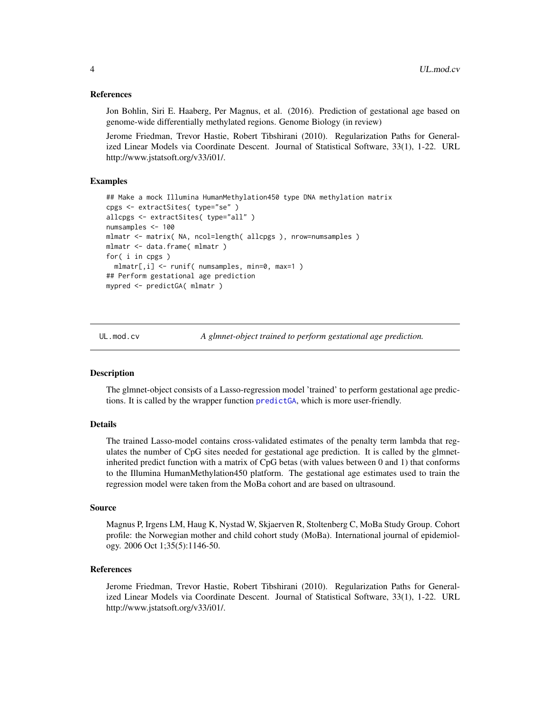#### <span id="page-3-0"></span>References

Jon Bohlin, Siri E. Haaberg, Per Magnus, et al. (2016). Prediction of gestational age based on genome-wide differentially methylated regions. Genome Biology (in review)

Jerome Friedman, Trevor Hastie, Robert Tibshirani (2010). Regularization Paths for Generalized Linear Models via Coordinate Descent. Journal of Statistical Software, 33(1), 1-22. URL http://www.jstatsoft.org/v33/i01/.

#### Examples

```
## Make a mock Illumina HumanMethylation450 type DNA methylation matrix
cpgs <- extractSites( type="se" )
allcpgs <- extractSites( type="all" )
numsamples <- 100
mlmatr <- matrix( NA, ncol=length( allcpgs ), nrow=numsamples )
mlmatr <- data.frame( mlmatr )
for( i in cpgs )
 mlmatr[,i] <- runif( numsamples, min=0, max=1 )
## Perform gestational age prediction
mypred <- predictGA( mlmatr )
```
<span id="page-3-1"></span>

UL.mod.cv *A glmnet-object trained to perform gestational age prediction.*

#### Description

The glmnet-object consists of a Lasso-regression model 'trained' to perform gestational age predictions. It is called by the wrapper function [predictGA](#page-2-1), which is more user-friendly.

#### Details

The trained Lasso-model contains cross-validated estimates of the penalty term lambda that regulates the number of CpG sites needed for gestational age prediction. It is called by the glmnetinherited predict function with a matrix of CpG betas (with values between 0 and 1) that conforms to the Illumina HumanMethylation450 platform. The gestational age estimates used to train the regression model were taken from the MoBa cohort and are based on ultrasound.

#### Source

Magnus P, Irgens LM, Haug K, Nystad W, Skjaerven R, Stoltenberg C, MoBa Study Group. Cohort profile: the Norwegian mother and child cohort study (MoBa). International journal of epidemiology. 2006 Oct 1;35(5):1146-50.

#### References

Jerome Friedman, Trevor Hastie, Robert Tibshirani (2010). Regularization Paths for Generalized Linear Models via Coordinate Descent. Journal of Statistical Software, 33(1), 1-22. URL http://www.jstatsoft.org/v33/i01/.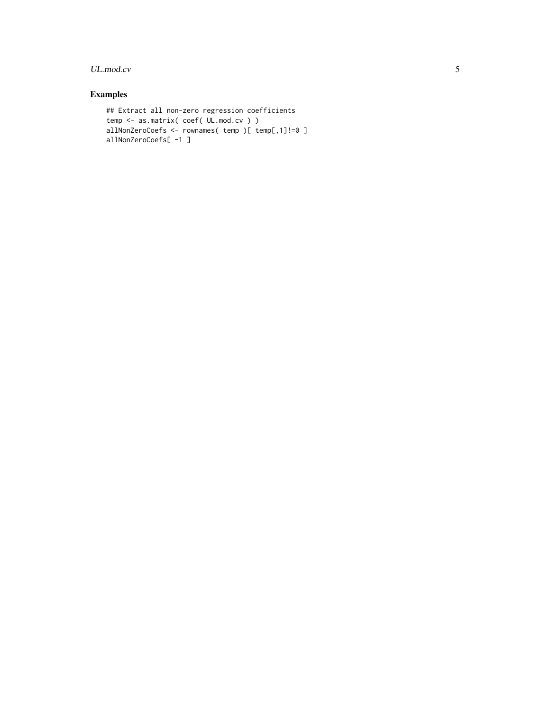#### UL.mod.cv 5

#### Examples

```
## Extract all non-zero regression coefficients
temp <- as.matrix( coef( UL.mod.cv ) )
allNonZeroCoefs <- rownames( temp )[ temp[,1]!=0 ]
allNonZeroCoefs[ -1 ]
```